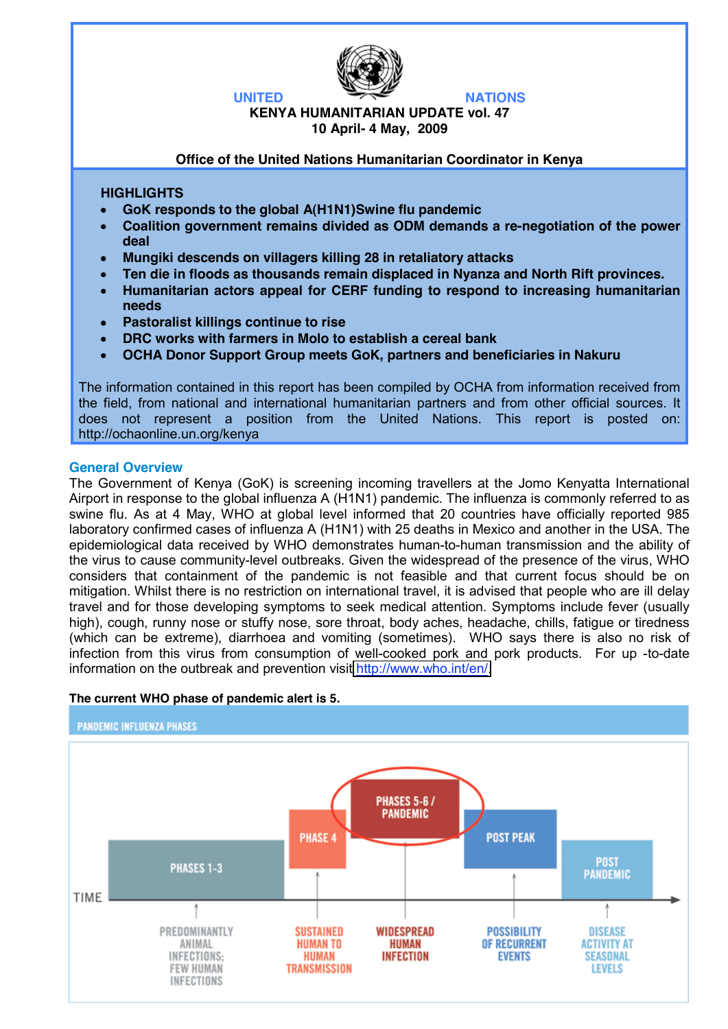

### **KENYA HUMANITARIAN UPDATE vol. 47 10 April- 4 May, 2009**

#### **Office of the United Nations Humanitarian Coordinator in Kenya**

### **HIGHLIGHTS**

- **GoK responds to the global A(H1N1)Swine flu pandemic**
- **Coalition government remains divided as ODM demands a re-negotiation of the power deal**
- **Mungiki descends on villagers killing 28 in retaliatory attacks**
- **Ten die in floods as thousands remain displaced in Nyanza and North Rift provinces.**
- **Humanitarian actors appeal for CERF funding to respond to increasing humanitarian needs**
- **Pastoralist killings continue to rise**
- **DRC works with farmers in Molo to establish a cereal bank**
- **OCHA Donor Support Group meets GoK, partners and beneficiaries in Nakuru**

The information contained in this report has been compiled by OCHA from information received from the field, from national and international humanitarian partners and from other official sources. It does not represent a position from the United Nations. This report is posted on: http://ochaonline.un.org/kenya

#### **General Overview**

The Government of Kenya (GoK) is screening incoming travellers at the Jomo Kenyatta International Airport in response to the global influenza A (H1N1) pandemic. The influenza is commonly referred to as swine flu. As at 4 May, WHO at global level informed that 20 countries have officially reported 985 laboratory confirmed cases of influenza A (H1N1) with 25 deaths in Mexico and another in the USA. The epidemiological data received by WHO demonstrates human-to-human transmission and the ability of the virus to cause community-level outbreaks. Given the widespread of the presence of the virus, WHO considers that containment of the pandemic is not feasible and that current focus should be on mitigation. Whilst there is no restriction on international travel, it is advised that people who are ill delay travel and for those developing symptoms to seek medical attention. Symptoms include fever (usually high), cough, runny nose or stuffy nose, sore throat, body aches, headache, chills, fatigue or tiredness (which can be extreme), diarrhoea and vomiting (sometimes). WHO says there is also no risk of infection from this virus from consumption of well-cooked pork and pork products. For up -to-date information on the outbreak and prevention visit [http://www.who.int/en/.](http://www.who.int/en/)



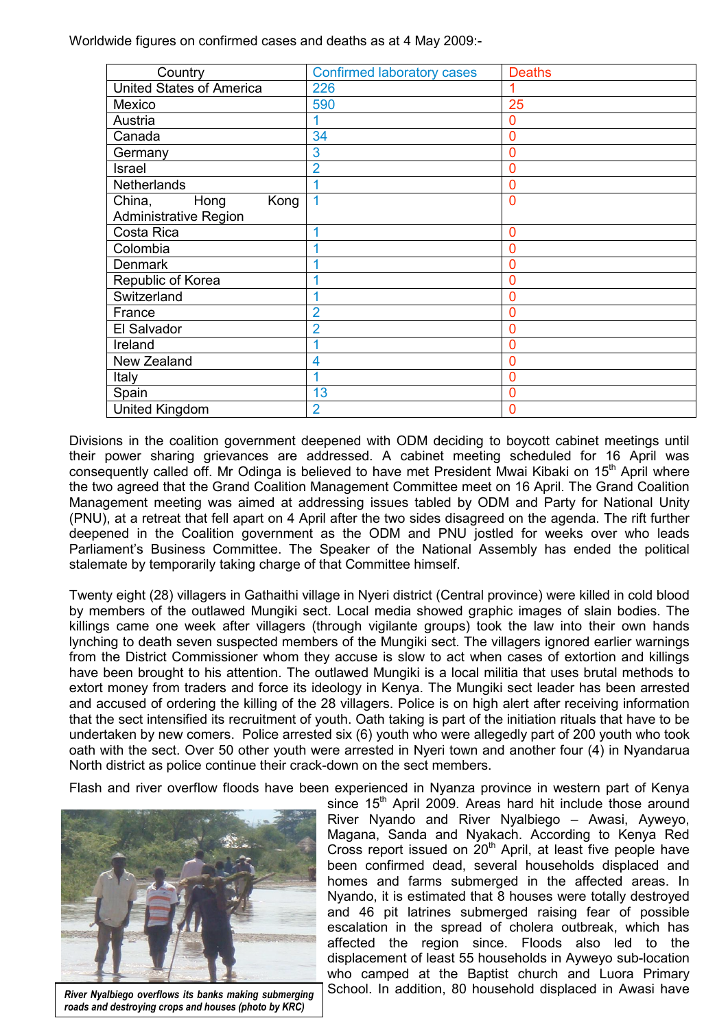Worldwide figures on confirmed cases and deaths as at 4 May 2009:-

| Country                         | <b>Confirmed laboratory cases</b> | <b>Deaths</b> |
|---------------------------------|-----------------------------------|---------------|
| <b>United States of America</b> | 226                               |               |
| Mexico                          | 590                               | 25            |
| Austria                         |                                   | 0             |
| Canada                          | 34                                | 0             |
| Germany                         | 3                                 | 0             |
| Israel                          | $\overline{2}$                    | 0             |
| <b>Netherlands</b>              |                                   | 0             |
| Hong<br>Kong<br>China,          | 1                                 | 0             |
| <b>Administrative Region</b>    |                                   |               |
| Costa Rica                      |                                   | 0             |
| Colombia                        |                                   | ი             |
| <b>Denmark</b>                  |                                   |               |
| Republic of Korea               |                                   | 0             |
| Switzerland                     |                                   | 0             |
| France                          | $\overline{2}$                    | ი             |
| El Salvador                     | $\overline{2}$                    | ი             |
| Ireland                         |                                   | 0             |
| New Zealand                     | 4                                 | 0             |
| Italy                           |                                   | 0             |
| Spain                           | 13                                | 0             |
| United Kingdom                  | $\overline{2}$                    | 0             |

Divisions in the coalition government deepened with ODM deciding to boycott cabinet meetings until their power sharing grievances are addressed. A cabinet meeting scheduled for 16 April was consequently called off. Mr Odinga is believed to have met President Mwai Kibaki on 15<sup>th</sup> April where the two agreed that the Grand Coalition Management Committee meet on 16 April. The Grand Coalition Management meeting was aimed at addressing issues tabled by ODM and Party for National Unity (PNU), at a retreat that fell apart on 4 April after the two sides disagreed on the agenda. The rift further deepened in the Coalition government as the ODM and PNU jostled for weeks over who leads Parliament's Business Committee. The Speaker of the National Assembly has ended the political stalemate by temporarily taking charge of that Committee himself.

Twenty eight (28) villagers in Gathaithi village in Nyeri district (Central province) were killed in cold blood by members of the outlawed Mungiki sect. Local media showed graphic images of slain bodies. The killings came one week after villagers (through vigilante groups) took the law into their own hands lynching to death seven suspected members of the Mungiki sect. The villagers ignored earlier warnings from the District Commissioner whom they accuse is slow to act when cases of extortion and killings have been brought to his attention. The outlawed Mungiki is a local militia that uses brutal methods to extort money from traders and force its ideology in Kenya. The Mungiki sect leader has been arrested and accused of ordering the killing of the 28 villagers. Police is on high alert after receiving information that the sect intensified its recruitment of youth. Oath taking is part of the initiation rituals that have to be undertaken by new comers. Police arrested six (6) youth who were allegedly part of 200 youth who took oath with the sect. Over 50 other youth were arrested in Nyeri town and another four (4) in Nyandarua North district as police continue their crack-down on the sect members.

Flash and river overflow floods have been experienced in Nyanza province in western part of Kenya



*roads and destroying crops and houses (photo by KRC)*

since 15<sup>th</sup> April 2009. Areas hard hit include those around River Nyando and River Nyalbiego – Awasi, Ayweyo, Magana, Sanda and Nyakach. According to Kenya Red Cross report issued on  $20<sup>th</sup>$  April, at least five people have been confirmed dead, several households displaced and homes and farms submerged in the affected areas. In Nyando, it is estimated that 8 houses were totally destroyed and 46 pit latrines submerged raising fear of possible escalation in the spread of cholera outbreak, which has affected the region since. Floods also led to the displacement of least 55 households in Ayweyo sub-location who camped at the Baptist church and Luora Primary River Nyalbiego overflows its banks making submerging School. In addition, 80 household displaced in Awasi have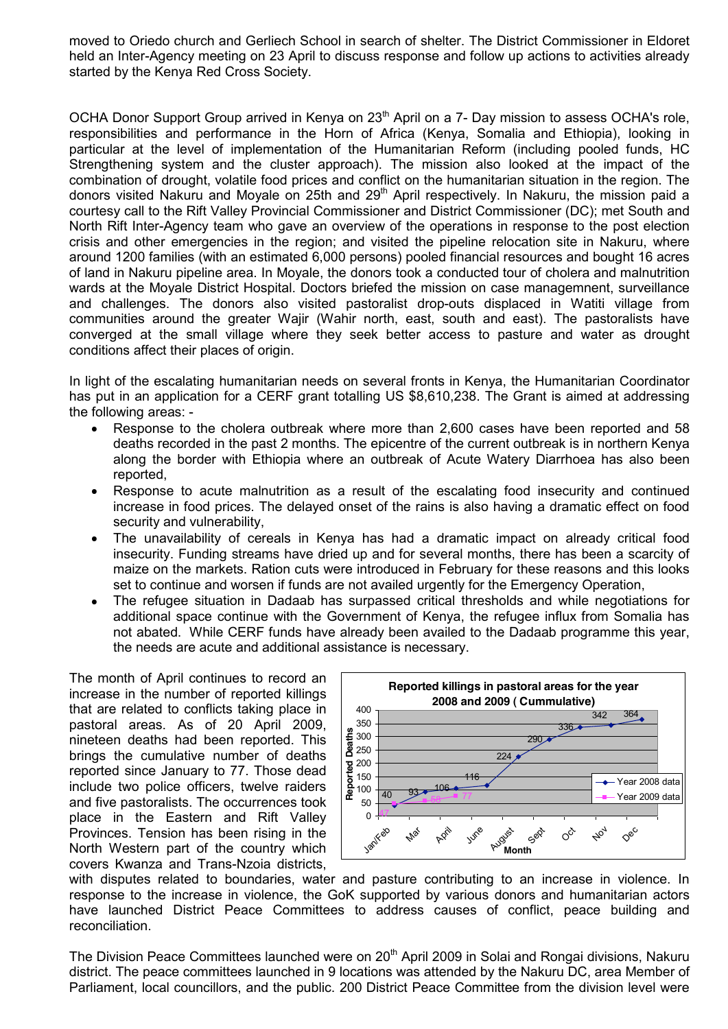moved to Oriedo church and Gerliech School in search of shelter. The District Commissioner in Eldoret held an Inter-Agency meeting on 23 April to discuss response and follow up actions to activities already started by the Kenya Red Cross Society.

OCHA Donor Support Group arrived in Kenya on 23<sup>th</sup> April on a 7- Day mission to assess OCHA's role, responsibilities and performance in the Horn of Africa (Kenya, Somalia and Ethiopia), looking in particular at the level of implementation of the Humanitarian Reform (including pooled funds, HC Strengthening system and the cluster approach). The mission also looked at the impact of the combination of drought, volatile food prices and conflict on the humanitarian situation in the region. The donors visited Nakuru and Moyale on 25th and 29<sup>th</sup> April respectively. In Nakuru, the mission paid a courtesy call to the Rift Valley Provincial Commissioner and District Commissioner (DC); met South and North Rift Inter-Agency team who gave an overview of the operations in response to the post election crisis and other emergencies in the region; and visited the pipeline relocation site in Nakuru, where around 1200 families (with an estimated 6,000 persons) pooled financial resources and bought 16 acres of land in Nakuru pipeline area. In Moyale, the donors took a conducted tour of cholera and malnutrition wards at the Moyale District Hospital. Doctors briefed the mission on case managemnent, surveillance and challenges. The donors also visited pastoralist drop-outs displaced in Watiti village from communities around the greater Wajir (Wahir north, east, south and east). The pastoralists have converged at the small village where they seek better access to pasture and water as drought conditions affect their places of origin.

In light of the escalating humanitarian needs on several fronts in Kenya, the Humanitarian Coordinator has put in an application for a CERF grant totalling US \$8,610,238. The Grant is aimed at addressing the following areas: -

- Response to the cholera outbreak where more than 2,600 cases have been reported and 58  $\bullet$ deaths recorded in the past 2 months. The epicentre of the current outbreak is in northern Kenya along the border with Ethiopia where an outbreak of Acute Watery Diarrhoea has also been reported,
- Response to acute malnutrition as a result of the escalating food insecurity and continued  $\bullet$ increase in food prices. The delayed onset of the rains is also having a dramatic effect on food security and vulnerability,
- The unavailability of cereals in Kenya has had a dramatic impact on already critical food  $\bullet$ insecurity. Funding streams have dried up and for several months, there has been a scarcity of maize on the markets. Ration cuts were introduced in February for these reasons and this looks set to continue and worsen if funds are not availed urgently for the Emergency Operation,
- The refugee situation in Dadaab has surpassed critical thresholds and while negotiations for additional space continue with the Government of Kenya, the refugee influx from Somalia has not abated. While CERF funds have already been availed to the Dadaab programme this year, the needs are acute and additional assistance is necessary.

The month of April continues to record an increase in the number of reported killings that are related to conflicts taking place in pastoral areas. As of 20 April 2009, nineteen deaths had been reported. This brings the cumulative number of deaths reported since January to 77. Those dead include two police officers, twelve raiders and five pastoralists. The occurrences took place in the Eastern and Rift Valley Provinces. Tension has been rising in the North Western part of the country which covers Kwanza and Trans-Nzoia districts,



with disputes related to boundaries, water and pasture contributing to an increase in violence. In response to the increase in violence, the GoK supported by various donors and humanitarian actors have launched District Peace Committees to address causes of conflict, peace building and reconciliation.

The Division Peace Committees launched were on 20<sup>th</sup> April 2009 in Solai and Rongai divisions, Nakuru district. The peace committees launched in 9 locations was attended by the Nakuru DC, area Member of Parliament, local councillors, and the public. 200 District Peace Committee from the division level were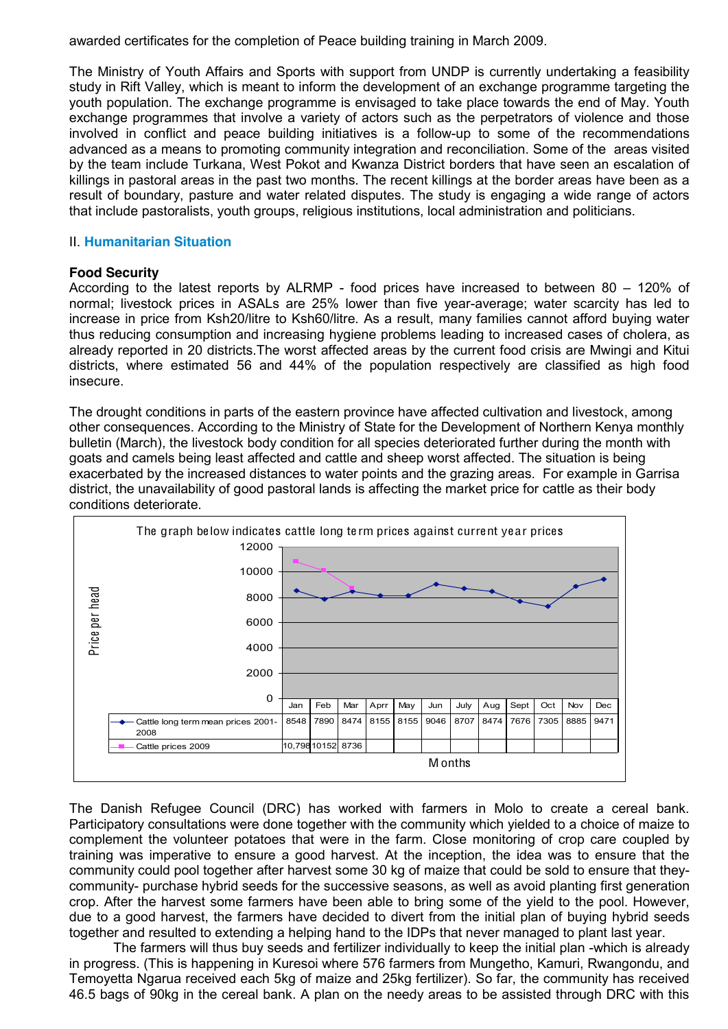awarded certificates for the completion of Peace building training in March 2009.

The Ministry of Youth Affairs and Sports with support from UNDP is currently undertaking a feasibility study in Rift Valley, which is meant to inform the development of an exchange programme targeting the youth population. The exchange programme is envisaged to take place towards the end of May. Youth exchange programmes that involve a variety of actors such as the perpetrators of violence and those involved in conflict and peace building initiatives is a follow-up to some of the recommendations advanced as a means to promoting community integration and reconciliation. Some of the areas visited by the team include Turkana, West Pokot and Kwanza District borders that have seen an escalation of killings in pastoral areas in the past two months. The recent killings at the border areas have been as a result of boundary, pasture and water related disputes. The study is engaging a wide range of actors that include pastoralists, youth groups, religious institutions, local administration and politicians.

### II. **Humanitarian Situation**

### **Food Security**

According to the latest reports by ALRMP - food prices have increased to between 80 – 120% of normal; livestock prices in ASALs are 25% lower than five year-average; water scarcity has led to increase in price from Ksh20/litre to Ksh60/litre. As a result, many families cannot afford buying water thus reducing consumption and increasing hygiene problems leading to increased cases of cholera, as already reported in 20 districts.The worst affected areas by the current food crisis are Mwingi and Kitui districts, where estimated 56 and 44% of the population respectively are classified as high food insecure.

The drought conditions in parts of the eastern province have affected cultivation and livestock, among other consequences. According to the Ministry of State for the Development of Northern Kenya monthly bulletin (March), the livestock body condition for all species deteriorated further during the month with goats and camels being least affected and cattle and sheep worst affected. The situation is being exacerbated by the increased distances to water points and the grazing areas. For example in Garrisa district, the unavailability of good pastoral lands is affecting the market price for cattle as their body conditions deteriorate.



The Danish Refugee Council (DRC) has worked with farmers in Molo to create a cereal bank. Participatory consultations were done together with the community which yielded to a choice of maize to complement the volunteer potatoes that were in the farm. Close monitoring of crop care coupled by training was imperative to ensure a good harvest. At the inception, the idea was to ensure that the community could pool together after harvest some 30 kg of maize that could be sold to ensure that theycommunity- purchase hybrid seeds for the successive seasons, as well as avoid planting first generation crop. After the harvest some farmers have been able to bring some of the yield to the pool. However, due to a good harvest, the farmers have decided to divert from the initial plan of buying hybrid seeds together and resulted to extending a helping hand to the IDPs that never managed to plant last year.

The farmers will thus buy seeds and fertilizer individually to keep the initial plan -which is already in progress. (This is happening in Kuresoi where 576 farmers from Mungetho, Kamuri, Rwangondu, and Temoyetta Ngarua received each 5kg of maize and 25kg fertilizer). So far, the community has received 46.5 bags of 90kg in the cereal bank. A plan on the needy areas to be assisted through DRC with this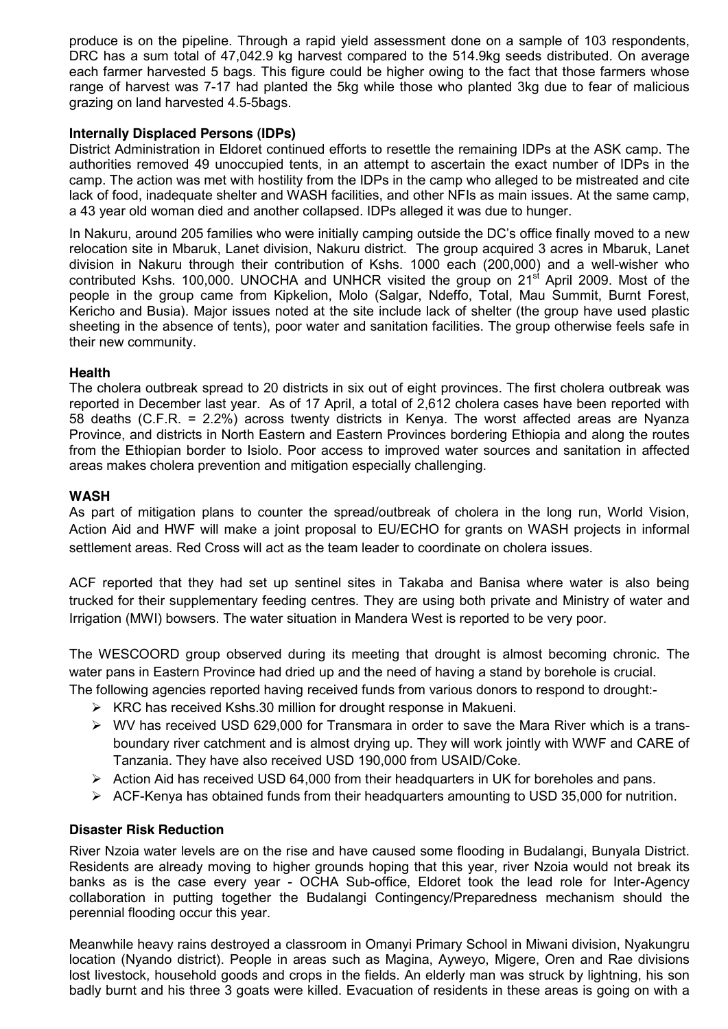produce is on the pipeline. Through a rapid yield assessment done on a sample of 103 respondents, DRC has a sum total of 47,042.9 kg harvest compared to the 514.9kg seeds distributed. On average each farmer harvested 5 bags. This figure could be higher owing to the fact that those farmers whose range of harvest was 7-17 had planted the 5kg while those who planted 3kg due to fear of malicious grazing on land harvested 4.5-5bags.

# **Internally Displaced Persons (IDPs)**

District Administration in Eldoret continued efforts to resettle the remaining IDPs at the ASK camp. The authorities removed 49 unoccupied tents, in an attempt to ascertain the exact number of IDPs in the camp. The action was met with hostility from the IDPs in the camp who alleged to be mistreated and cite lack of food, inadequate shelter and WASH facilities, and other NFIs as main issues. At the same camp, a 43 year old woman died and another collapsed. IDPs alleged it was due to hunger.

In Nakuru, around 205 families who were initially camping outside the DC's office finally moved to a new relocation site in Mbaruk, Lanet division, Nakuru district. The group acquired 3 acres in Mbaruk, Lanet division in Nakuru through their contribution of Kshs. 1000 each (200,000) and a well-wisher who contributed Kshs. 100,000. UNOCHA and UNHCR visited the group on 21<sup>st</sup> April 2009. Most of the people in the group came from Kipkelion, Molo (Salgar, Ndeffo, Total, Mau Summit, Burnt Forest, Kericho and Busia). Major issues noted at the site include lack of shelter (the group have used plastic sheeting in the absence of tents), poor water and sanitation facilities. The group otherwise feels safe in their new community.

# **Health**

The cholera outbreak spread to 20 districts in six out of eight provinces. The first cholera outbreak was reported in December last year. As of 17 April, a total of 2,612 cholera cases have been reported with 58 deaths (C.F.R. = 2.2%) across twenty districts in Kenya. The worst affected areas are Nyanza Province, and districts in North Eastern and Eastern Provinces bordering Ethiopia and along the routes from the Ethiopian border to Isiolo. Poor access to improved water sources and sanitation in affected areas makes cholera prevention and mitigation especially challenging.

# **WASH**

As part of mitigation plans to counter the spread/outbreak of cholera in the long run, World Vision, Action Aid and HWF will make a joint proposal to EU/ECHO for grants on WASH projects in informal settlement areas. Red Cross will act as the team leader to coordinate on cholera issues.

ACF reported that they had set up sentinel sites in Takaba and Banisa where water is also being trucked for their supplementary feeding centres. They are using both private and Ministry of water and Irrigation (MWI) bowsers. The water situation in Mandera West is reported to be very poor.

The WESCOORD group observed during its meeting that drought is almost becoming chronic. The water pans in Eastern Province had dried up and the need of having a stand by borehole is crucial.

- The following agencies reported having received funds from various donors to respond to drought:-
	- $\triangleright$  KRC has received Kshs.30 million for drought response in Makueni.
	- $\triangleright$  WV has received USD 629,000 for Transmara in order to save the Mara River which is a transboundary river catchment and is almost drying up. They will work jointly with WWF and CARE of Tanzania. They have also received USD 190,000 from USAID/Coke.
	- $\triangleright$  Action Aid has received USD 64,000 from their headquarters in UK for boreholes and pans.
	- $\triangleright$  ACF-Kenya has obtained funds from their headquarters amounting to USD 35,000 for nutrition.

# **Disaster Risk Reduction**

River Nzoia water levels are on the rise and have caused some flooding in Budalangi, Bunyala District. Residents are already moving to higher grounds hoping that this year, river Nzoia would not break its banks as is the case every year - OCHA Sub-office, Eldoret took the lead role for Inter-Agency collaboration in putting together the Budalangi Contingency/Preparedness mechanism should the perennial flooding occur this year.

Meanwhile heavy rains destroyed a classroom in Omanyi Primary School in Miwani division, Nyakungru location (Nyando district). People in areas such as Magina, Ayweyo, Migere, Oren and Rae divisions lost livestock, household goods and crops in the fields. An elderly man was struck by lightning, his son badly burnt and his three 3 goats were killed. Evacuation of residents in these areas is going on with a